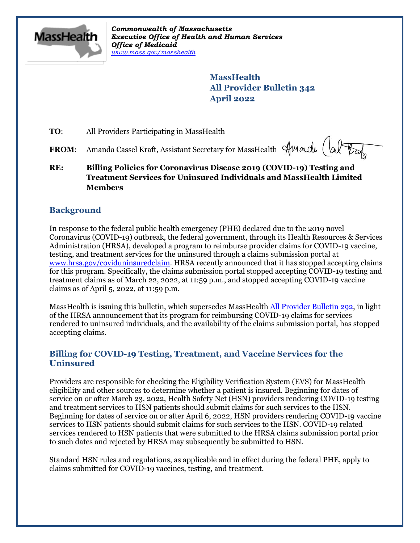

*Commonwealth of Massachusetts Executive Office of Health and Human Services Office of Medicaid [www.mass.gov/masshealth](http://www.mass.gov/masshealth)*

> **MassHealth All Provider Bulletin 342 April 2022**

**TO:** All Providers Participating in MassHealth

**FROM:** Amanda Cassel Kraft, Assistant Secretary for MassHealth Sun and

**RE: Billing Policies for Coronavirus Disease 2019 (COVID-19) Testing and Treatment Services for Uninsured Individuals and MassHealth Limited Members**

# **Background**

In response to the federal public health emergency (PHE) declared due to the 2019 novel Coronavirus (COVID-19) outbreak, the federal government, through its Health Resources & Services Administration (HRSA), developed a program to reimburse provider claims for COVID-19 vaccine, testing, and treatment services for the uninsured through a claims submission portal at [www.hrsa.gov/coviduninsuredclaim.](http://www.hrsa.gov/coviduninsuredclaim) HRSA recently announced that it has stopped accepting claims for this program. Specifically, the claims submission portal stopped accepting COVID-19 testing and treatment claims as of March 22, 2022, at 11:59 p.m., and stopped accepting COVID-19 vaccine claims as of April 5, 2022, at 11:59 p.m.

MassHealth is issuing this bulletin, which supersedes MassHealth [All Provider Bulletin 292,](https://www.mass.gov/lists/all-provider-bulletins) in light of the HRSA announcement that its program for reimbursing COVID-19 claims for services rendered to uninsured individuals, and the availability of the claims submission portal, has stopped accepting claims.

# **Billing for COVID-19 Testing, Treatment, and Vaccine Services for the Uninsured**

Providers are responsible for checking the Eligibility Verification System (EVS) for MassHealth eligibility and other sources to determine whether a patient is insured. Beginning for dates of service on or after March 23, 2022, Health Safety Net (HSN) providers rendering COVID-19 testing and treatment services to HSN patients should submit claims for such services to the HSN. Beginning for dates of service on or after April 6, 2022, HSN providers rendering COVID-19 vaccine services to HSN patients should submit claims for such services to the HSN. COVID-19 related services rendered to HSN patients that were submitted to the HRSA claims submission portal prior to such dates and rejected by HRSA may subsequently be submitted to HSN.

Standard HSN rules and regulations, as applicable and in effect during the federal PHE, apply to claims submitted for COVID-19 vaccines, testing, and treatment.